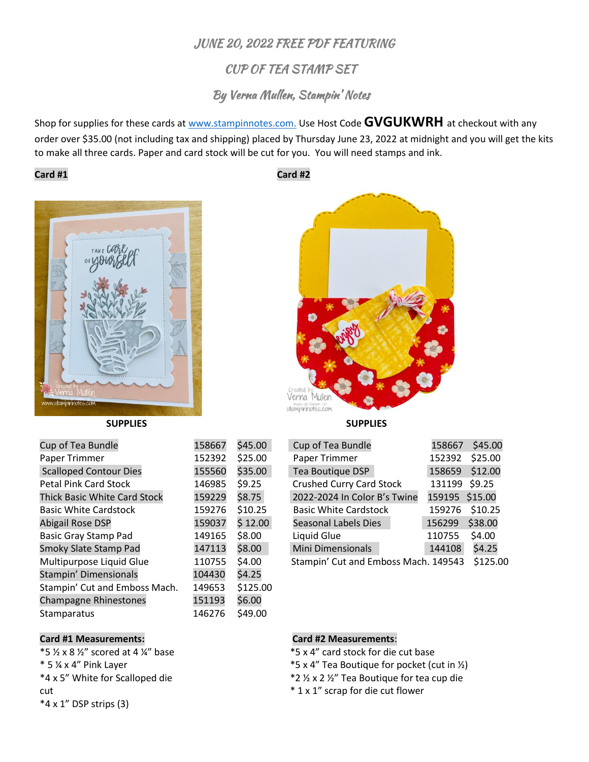# JUNE 20, 2022 FREE PDF FEATURING

# CUP OF TEA STAMP SET

## By Verna Mullen, Stampin' Notes

Shop for supplies for these cards at [www.stampinnotes.com.](http://www.stampinnotes.com/) Use Host Code **GVGUKWRH** at checkout with any order over \$35.00 (not including tax and shipping) placed by Thursday June 23, 2022 at midnight and you will get the kits to make all three cards. Paper and card stock will be cut for you. You will need stamps and ink.

### **Card #1 Card #2**



| Cup of Tea Bundle                   | 158667 | \$45.00  | Cup of Tea Bundle                    | 158667         | \$45.00  |
|-------------------------------------|--------|----------|--------------------------------------|----------------|----------|
| Paper Trimmer                       | 152392 | \$25.00  | Paper Trimmer                        | 152392         | \$25.00  |
| <b>Scalloped Contour Dies</b>       | 155560 | \$35.00  | Tea Boutique DSP                     | 158659         | \$12.00  |
| <b>Petal Pink Card Stock</b>        | 146985 | \$9.25   | <b>Crushed Curry Card Stock</b>      | 131199 \$9.25  |          |
| <b>Thick Basic White Card Stock</b> | 159229 | \$8.75   | 2022-2024 In Color B's Twine         | 159195 \$15.00 |          |
| <b>Basic White Cardstock</b>        | 159276 | \$10.25  | <b>Basic White Cardstock</b>         | 159276         | \$10.25  |
| <b>Abigail Rose DSP</b>             | 159037 | \$12.00  | Seasonal Labels Dies                 | 156299         | \$38.00  |
| <b>Basic Gray Stamp Pad</b>         | 149165 | \$8.00   | Liquid Glue                          | 110755         | \$4.00   |
| Smoky Slate Stamp Pad               | 147113 | \$8.00   | <b>Mini Dimensionals</b>             | 144108         | \$4.25   |
| Multipurpose Liquid Glue            | 110755 | \$4.00   | Stampin' Cut and Emboss Mach. 149543 |                | \$125.00 |
| Stampin' Dimensionals               | 104430 | \$4.25   |                                      |                |          |
| Stampin' Cut and Emboss Mach.       | 149653 | \$125.00 |                                      |                |          |
| <b>Champagne Rhinestones</b>        | 151193 | \$6.00   |                                      |                |          |
| <b>Stamparatus</b>                  | 146276 | \$49.00  |                                      |                |          |



**SUPPLIES SUPPLIES**

| Cup of Tea Bundle                    | 158667         | \$45.00 |
|--------------------------------------|----------------|---------|
| Paper Trimmer                        | 152392         | \$25.00 |
| Tea Boutique DSP                     | 158659         | \$12.00 |
| <b>Crushed Curry Card Stock</b>      | 131199         | \$9.25  |
| 2022-2024 In Color B's Twine         | 159195 \$15.00 |         |
| <b>Basic White Cardstock</b>         | 159276         | \$10.25 |
| <b>Seasonal Labels Dies</b>          | 156299         | \$38.00 |
| Liquid Glue                          | 110755         | \$4.00  |
| Mini Dimensionals                    | 144108         | \$4.25  |
| Stampin' Cut and Emboss Mach. 149543 | \$125.00       |         |

 $*$ 5 ½ x 8 ½" scored at 4 ¼" base \* 5 ¼ x 4" Pink Layer \*4 x 5" White for Scalloped die cut \*4 x 1" DSP strips (3)

**Card #1 Measurements:**

### **Card #2 Measurements**:

\*5 x 4" card stock for die cut base

- \*5 x 4" Tea Boutique for pocket (cut in ½)
- \*2 ½ x 2 ½" Tea Boutique for tea cup die
- \* 1 x 1" scrap for die cut flower